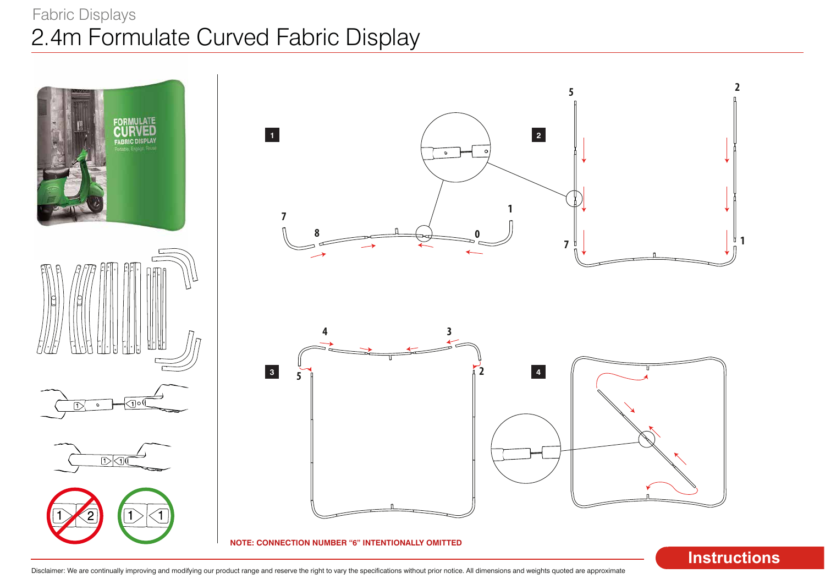# 2.4m Formulate Curved Fabric Display Fabric Displays

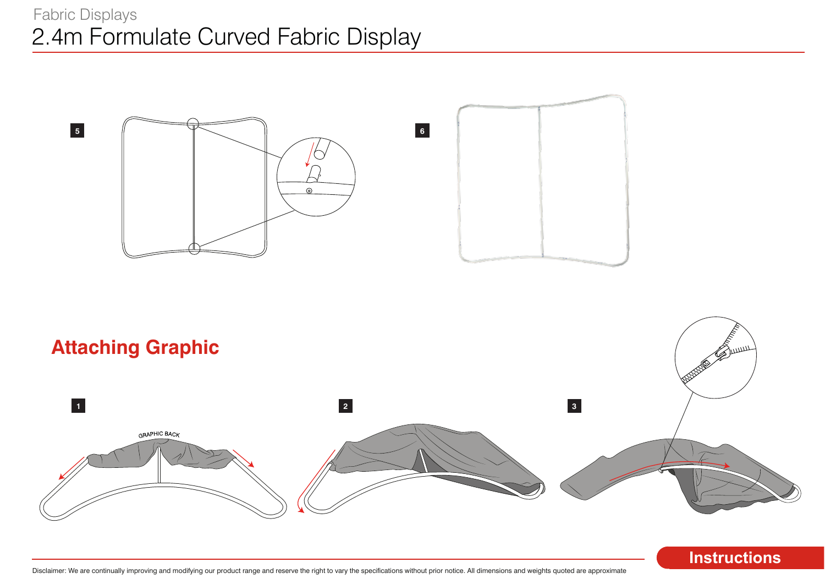



### **Instructions**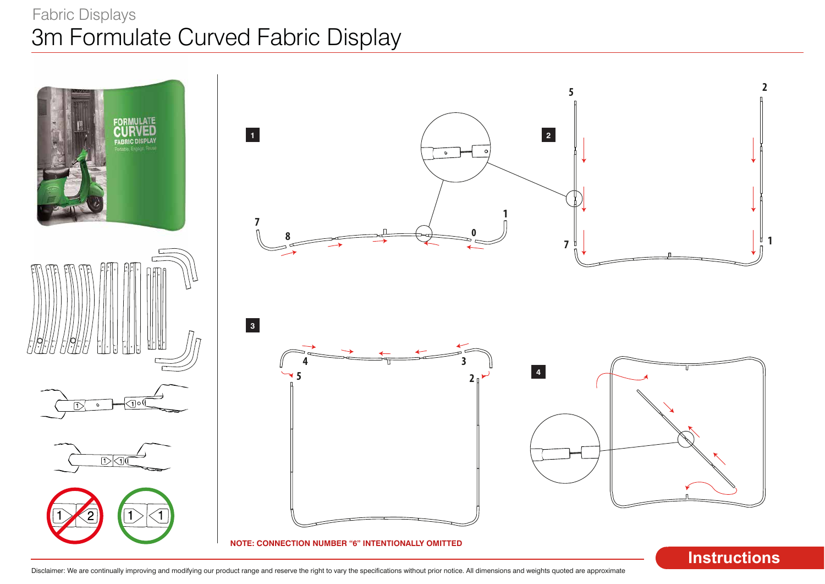# 3m Formulate Curved Fabric Display Fabric Displays